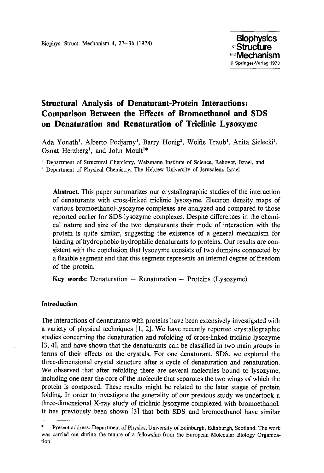# **Structural Analysis of Denaturant-Protein Interactions: Comparison Between the Effects of Bromoethanol and SDS on Denaturation and Renaturation of Triclinic Lysozyme**

Ada Yonath<sup>1</sup>, Alberto Podjarny<sup>1</sup>, Barry Honig<sup>2</sup>, Wolfie Traub<sup>1</sup>, Anita Sielecki<sup>1</sup>, Osnat Herzberg<sup>1</sup>, and John Moult<sup>1\*</sup>

<sup>1</sup> Department of Structural Chemistry, Weizmann Institute of Science, Rehovot, Israel, and

<sup>2</sup> Department of Physical Chemistry, The Hebrew University of Jerusalem, Israel

**Abstract.** This paper summarizes our crystallographic studies of the interaction of denaturants with cross-linked triclinic lysozyme. Electron density maps of various bromoethanol-lysozyme complexes are analyzed and compared to those reported earlier for SDS-lysozyme complexes. Despite differences in the chemical nature and size of the two denaturants their mode of interaction with the protein is quite similar, suggesting the existence of a general mechanism for binding of hydrophobic-hydrophilic denaturants to proteins. Our results are consistent with the conclusion that lysozyme consists of two domains connected by a flexible segment and that this segment represents an internal degree of freedom of the protein.

**Key words:** Denaturation - Renaturation - Proteins (Lysozyme).

# **Introduction**

The interactions of denaturants with proteins have been extensively investigated with a variety of physical techniques [i, 2]. We have recently reported crystallographic studies concerning the denaturation and refolding of cross-linked triclinic lysozyme [3, 4], and have shown that the denaturants can be classified in two main groups in terms of their effects on the crystals. For one denaturant, SDS, we explored the three-dimensional crystal structure after a cycle of denaturation and renaturation. We observed that after refolding there are several molecules bound to lysozyme, including one near the core of the molecule that separates the two wings of which the protein is composed. These results might be related to the later stages of protein folding. In order to investigate the generality of our previous study we undertook a three-dimensional X-ray study of trielinic lysozyme complexed with bromoethanol. It has previously been shown [3] that both SDS and bromoethanol have similar

<sup>\*</sup> Present address: Department of Physics, University of Edinburgh, Edinburgh, Scotland. The work was carried out during the tenure of a fellowship from the European Molecular Biology Organization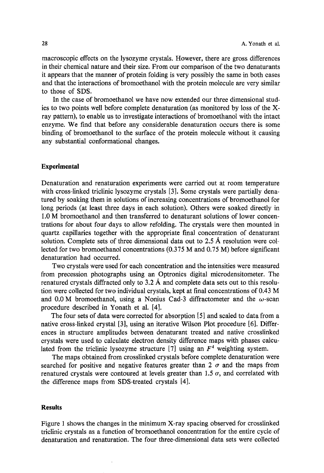macroscopic effects on the lysozyme crystals. However, there are gross differences in their chemical nature and their size. From our comparison of the two denaturants it appears that the manner of protein folding is very possibly the same in both cases and that the interactions of bromoethanol with the protein molecule are very similar to those of SDS.

In the case of bromoethanol we have now extended our three dimensional studies to two points well before complete denaturation (as monitored by loss of the Xray pattern), to enable us to investigate interactions of bromoethanol with the intact enzyme. We find that before any considerable denaturation occurs there is some binding of bromoethanol to the surface of the protein molecule without it causing any substantial conformational changes.

#### **Experimental**

Denaturation and renaturation experiments were carried out at room temperature with cross-linked triclinic lysozyme crystals [3]. Some crystals were partially denatured by soaking them in solutions of increasing concentrations of bromoethanol for long periods (at least three days in each solution). Others were soaked directly in 1.0 M bromoethanol and then transferred to denaturant solutions of lower concentrations for about four days to allow refolding. The crystals were then mounted in quartz capillaries together with the appropriate final concentration of denaturant solution. Complete sets of three dimensional data out to 2.5 A resolution were collected for two bromoethanol concentrations (0.375 M and 0.75 M) before significant denaturation had occurred.

Two crystals were used for each concentration and the intensities were measured from precession photographs using an Optronies digital microdensitometer. The renatured crystals diffracted only to 3.2 Å and complete data sets out to this resolution were collected for two individual crystals, kept at final concentrations of 0.43 M and 0.0 M bromoethanol, using a Nonius Cad-3 diffractometer and the  $\omega$ -scan procedure described in Yonath et al. [4].

The four sets of data were corrected for absorption [5] and scaled to data from a native cross-linked crystal [3], using an iterative Wilson Plot procedure [6]. Differences in structure amplitudes between denaturant treated and native erosslinked crystals were used to calculate electron density difference maps with phases calculated from the triclinic lysozyme structure [7] using an  $F<sup>4</sup>$  weighting system.

The maps obtained from crosslinked crystals before complete denaturation were searched for positive and negative features greater than 2  $\sigma$  and the maps from renatured crystals were contoured at levels greater than 1.5  $\sigma$ , and correlated with the difference maps from SDS-treated crystals [4].

#### **Results**

Figure 1 shows the changes in the minimum X-ray spacing observed for crosslinked triclinic crystals as a function of bromoethanol concentration for the entire cycle of denaturation and renaturation. The four three-dimensional data sets were collected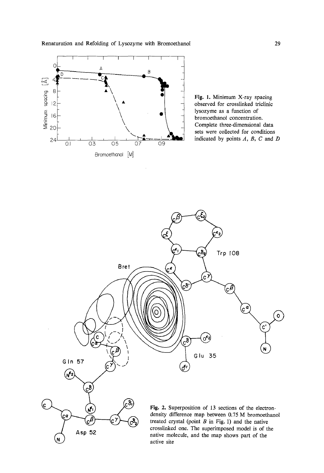

Fig. 1. Minimum X-ray spacing observed for crosslinked trielinic lysozyme as a function of bromoethanol concentration. Complete three-dimensional data sets were collected for conditions indicated by points  $A$ ,  $B$ ,  $C$  and  $D$ 

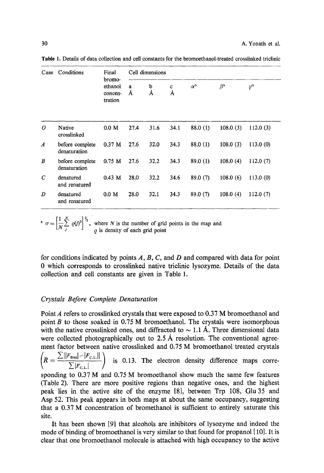| Case             | Conditions                      | Final<br>bromo-               |        | Cell dimensions |        |                  |                 |             |
|------------------|---------------------------------|-------------------------------|--------|-----------------|--------|------------------|-----------------|-------------|
|                  |                                 | ethanol<br>concen-<br>tration | a<br>Å | b<br>Å          | c<br>Å | $\alpha^{\circ}$ | $\beta^{\circ}$ | $v^{\circ}$ |
| 0                | Native<br>crosslinked           | 0.0 M                         | 27.4   | 31.6            | 34.1   | 88.0(1)          | 108.0(3)        | 112.0(3)    |
| $\boldsymbol{A}$ | before complete<br>denaturation | $0.37$ M                      | 27.6   | 32.0            | 34.3   | 88.0(1)          | 108.0(3)        | 113.0(0)    |
| B                | before complete<br>denaturation | $0.75$ M                      | 27.6   | 32.2            | 34.3   | 89.0(1)          | 108.0(4)        | 112.0(7)    |
| C                | denatured<br>and renatured      | $0.43$ M                      | 28.0   | 32.2            | 34.6   | 89.0 (7)         | 108.0(6)        | 113.0(0)    |
| D                | denatured<br>and renatured      | 0.0 M                         | 28.0   | 32.1            | 34.3   | 89.0(7)          | 108.0(4)        | 112.0(7)    |

**Table** 1. Details of data collection and cell constants for the bromoethanol-treated crosslinked triclinic

 $a^a$   $\sigma = \frac{1}{2} \left[ \frac{1}{2} \right]$   $\sigma$   $\left[ \frac{1}{2} \right]$   $\sigma$ , where N is the number of grid points in the map and  $\varrho$  is density of each grid point

for conditions indicated by points  $A, B, C$ , and  $D$  and compared with data for point 0 which corresponds to crosslinked native triclinic lysozyme. Details of the data collection and cell constants are given in Table 1.

# *Crystals Before Complete Denaturation*

Point A refers to crosslinked crystals that were exposed to 0.37 M bromoethanol and point  $B$  to those soaked in 0.75 M bromoethanol. The crystals were isomorphous with the native crosslinked ones, and diffracted to  $\sim$  1.1 Å. Three dimensional data were collected photographically out to  $2.5 \text{ Å}$  resolution. The conventional agreement factor between native crosslinked and 0.75 M bromoethanol treated crystals

 $\left(R=\frac{\sum ||F_{\text{Bret}}|-|F_{\text{C.L.}}||}{\sum |F_{\text{C.L.}}||} \right)$  is 0.13. The electron density difference maps corre-

sponding to 0.37 M and 0.75 M bromoethanol show much the same few features (Table 2). There are more positive regions than negative ones, and the highest peak lies in the active site of the enzyme [8], between Trp 108, Glu 35 and Asp 52. This peak appears in both maps at about the same occupancy, suggesting that a 0.37 M concentration of bromethanol is sufficient to entirely saturate this site.

It has been shown [9] that alcohols are inhibitors of lysozyme and indeed the mode of binding of bromoethanol is very similar to that found for propanol [ 10]. It is clear that one bromoethanol molecule is attached with high occupancy to the active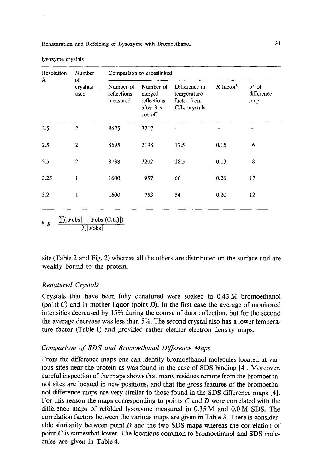| lysozyme crystals |  |
|-------------------|--|
|-------------------|--|

| Resolution | Number                 |                                      | Comparison to crosslinked                                         |                                                              |                         |                                    |
|------------|------------------------|--------------------------------------|-------------------------------------------------------------------|--------------------------------------------------------------|-------------------------|------------------------------------|
| Å          | of<br>crystals<br>used | Number of<br>reflections<br>measured | Number of<br>merged<br>reflections<br>after 3 $\sigma$<br>cut off | Difference in<br>temperature<br>factor from<br>C.L. crystals | $R$ factor <sup>b</sup> | $\sigma^a$ of<br>difference<br>map |
| 2.5        | $\mathbf{2}$           | 8675                                 | 3217                                                              |                                                              |                         |                                    |
| 2.5        | $\overline{2}$         | 8695                                 | 3198                                                              | 17.5                                                         | 0.15                    | 6                                  |
| 2.5        | $\mathbf{2}$           | 8738                                 | 3202                                                              | 18.5                                                         | 0.13                    | 8                                  |
| 3.25       | 1                      | 1600                                 | 957                                                               | 66                                                           | 0.26                    | 17                                 |
| 3.2        | 1                      | 1600                                 | 753                                                               | 54                                                           | 0.20                    | 12                                 |

 $\sum (Fobs|-|Fobs|$  (C.L.)|)  $[Fobs]$ 

site (Table 2 and Fig. 2) whereas all the others are distributed on the surface and are weakly bound to the protein.

#### *Renatured Crystals*

Crystals that have been fully denatured were soaked in 0.43 M bromoethanol (point  $C$ ) and in mother liquor (point  $D$ ). In the first case the average of monitored intensities decreased by 15% during the course of data collection, but for the second the average decrease was less than 5%. The second crystal also has a lower temperature factor (Table 1) and provided rather cleaner electron density maps.

## *Comparison of SDS and Bromoethanol Difference Maps*

From the difference maps one can identify bromoethanol molecules located at various sites near the protein as was found in the case of SDS binding [4]. Moreover, careful inspection of the maps shows that many residues remote from the bromoethanol sites are located in new positions, and that the gross features of the bromoethanol difference maps are very similar to those found in the SDS difference maps [4]. For this reason the maps corresponding to points  $C$  and  $D$  were correlated with the difference maps of refolded lysozyme measured in 0.35 M and 0.0 M SDS. The correlation factors between the various maps are given in Table 3. There is considerable similarity between point  $D$  and the two SDS maps whereas the correlation of point C is somewhat lower. The locations common to bromoethanol and SDS molecules are given in Table 4.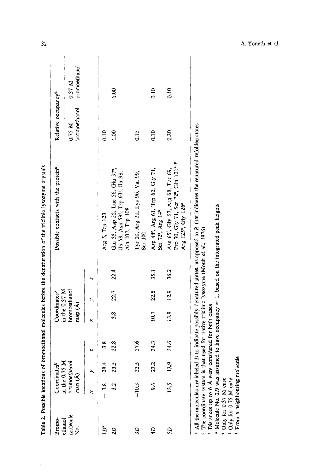| Table 2. Possible locations of |                         |                          |      |        |                                 |      | bromoethanol molecules before the denaturation of the triclinic lysozyme crystals                                                                |                                 |                        |
|--------------------------------|-------------------------|--------------------------|------|--------|---------------------------------|------|--------------------------------------------------------------------------------------------------------------------------------------------------|---------------------------------|------------------------|
| Bromo-                         |                         | Coordinatesb             |      |        | Coordinatesb                    |      | Possible contacts with the protein <sup>e</sup>                                                                                                  | Relative occupancy <sup>4</sup> |                        |
| molecule<br>ethanol<br>ż       | in the 0.75 1<br>map(A) | ⋝<br><b>bromoethanol</b> |      | map(A) | in the $0.37$ M<br>bromoethanol |      |                                                                                                                                                  | bromoethanol<br>0.75 M          | bromoethanol<br>0.37 M |
|                                |                         |                          | N    | ×      |                                 | ч    |                                                                                                                                                  |                                 |                        |
| Ë                              | $-3.8$                  | 28.4                     | 3.8  |        |                                 |      | Arg 5, Trp 123                                                                                                                                   | 0.10                            |                        |
| 2D                             |                         | 23.5                     | 22.8 | 3.8    | 22.7                            | 22.4 | Glu 35, Asp 52, Lue 56, Glu 57°,<br>Ilu 58, Asn 59°, Trp 63°, Ilu 98,<br>Ala 107, Trp 108                                                        | $\overline{00}$                 | 001                    |
| 3D                             | $-10.3$                 | 22.5                     | 27.6 |        |                                 |      | Tyr 20, Arg 21, Lys 96, Val 99,<br>Ser 100                                                                                                       | 0.15                            |                        |
| đÞ                             | 9.6                     | 23.                      | 34.3 | 10.7   | 22.5                            | 35.1 | Asp 48°, Arg 61, Trp 62, Gly 71,<br>Ser 72°, Arg 14 <sup>8</sup>                                                                                 | 0.10                            | 0.10                   |
| 52                             | 13.5                    | $\ddot{5}$               | 34.6 | 13.9   | 12.9                            | 36.2 | Pro 70, Gly 71, Ser 72°, Gln 121°' *<br>Asn 65', Gly 67, Arg 68, Thr 69,<br>Arg 125 <sup>g</sup> , Gly 126 <sup>g</sup>                          | 0.30                            | 0.10                   |
|                                |                         |                          |      |        |                                 |      | <sup>a</sup> All the molecules are labeled D to indicate possibly denatured states, as apposed to R that indicates the renatured refolded states |                                 |                        |

The coordinate system is that used for native triclinic lysozyme (Moult et al., 1976) <sup>t</sup> The coordinate system is that used for native triclinic lysozyme (Moult et al., 1976)

Distances up to  $6$  Å were considered for both cases

Molecule No. 2D was assumed to have occupancy  $= 1$ , based on the integrated peak heights • Distances up to  $\vec{b}$  A were considered for both cases<br>
<sup>4</sup> Molecule No. 2D was assumed to have occupancy = 1, based on the integrated peak heights<br>
<sup>4</sup> Only for 0.37 M case<br>
<sup>f</sup> Only for 0.75 M case

e Only for 0.37 M case

From a neighbouring molecule <sup>8</sup> From a neighbouring molecule Only for 0.75 M case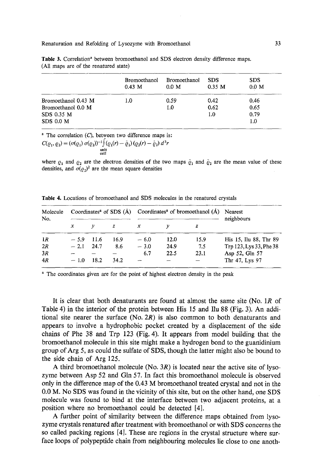Renaturation and Refolding of Lysozyme with Bromoethanol

|                     | <b>Bromoethanol</b><br>$0.43 \, M$ | Bromoethanol<br>0.0 M | <b>SDS</b><br>0.35 M | <b>SDS</b><br>0.0 M |
|---------------------|------------------------------------|-----------------------|----------------------|---------------------|
| Bromoethanol 0.43 M | 1.0                                | 0.59                  | 0.42                 | 0.46                |
| Bromoethanol 0.0 M  |                                    | 1.0                   | 0.62                 | 0.65                |
| SDS 0.35 M          |                                    |                       | 1.0                  | 0.79                |
| SDS 0.0 M           |                                    |                       |                      | 1.0                 |

Table 3. Correlation<sup>a</sup> between bromoethanol and SDS electron density difference maps. (All maps are of the renatured state)

 $^a$  The correlation (C), between two difference maps is:

$$
C(\varrho_1, \varrho_2) = (\sigma(\varrho_1) \sigma(\varrho_2))^{-1} \Big( \varrho_1(r) - \bar{\varrho}_1 \Big) \left( \varrho_2(r) - \bar{\varrho}_2 \right) d^3r
$$
  
unit  
cell

where  $\varrho_1$  and  $\varrho_2$  are the electron densities of the two maps  $\bar{\varrho}_1$  and  $\bar{\varrho}_2$  are the mean value of these densities, and  $\sigma(\rho_2)^2$  are the mean square densities

| Molecule<br>No. |             |       |      | Coordinates <sup>a</sup> of SDS $(A)$ Coordinates <sup>a</sup> of bromoethanol $(A)$ Nearest |      |      | neighbours              |
|-----------------|-------------|-------|------|----------------------------------------------------------------------------------------------|------|------|-------------------------|
|                 | $\chi$      |       | z    | x                                                                                            |      | z    |                         |
| 1R              | $-5.9$      | -11.6 | 16.9 | $-6.0$                                                                                       | 12.0 | 15.9 | His 15, Ilu 88, Thr 89  |
| 2R              | $-2.1$ 24.7 |       | 8.6  | $-3.0$                                                                                       | 24.9 | 7.5  | Trp 123, Lys 33, Phe 38 |
| 3R              |             |       |      | 6.7                                                                                          | 22.5 | 23.1 | Asp 52, Gln 57          |
| 4R              | $-1.0$      | 18.2  | 34.2 |                                                                                              |      |      | Thr 47, Lys 97          |

Table 4. Locations of bromoethanol and SDS molecules in the renatured crystals

<sup>a</sup> The coordinates given are for the point of highest electron density in the peak

It is clear that both denaturants are found at almost the same site (No. 1R of Table 4) in the interior of the protein between His 15 and Ilu 88 (Fig. 3). An additional site nearer the surface  $(No. 2R)$  is also common to both denaturants and appears to involve a hydrophobic pocket created by a displacement of the side chains of Phe 38 and Trp 123 (Fig. 4). It appears from model building that the bromoethanol molecule in this site might make a hydrogen bond to the guanidinium group of Arg 5, as could the sulfate of SDS, though the latter might also be bound to the side chain of Arg 125.

A third bromoethanol molecule (No.  $3R$ ) is located near the active site of lysozyme between Asp 52 and Gin 57. In fact this bromoethanol molecule is observed only in the difference map of the 0.43 M bromoethanol treated crystal and not in the 0.0 M. No SDS was found in the vicinity of this site, but on the other hand, one SDS molecule was found to bind at the interface between two adjacent proteins, at a position where no bromoethanol could be detected [4].

A further point of similarity between the difference maps obtained from lysozyme crystals renatured after treatment with bromoethanol or with SDS concerns the so called packing regions [4]. These are regions in the crystal structure where surface loops of polypeptide chain from neighbouring molecules lie close to one anoth-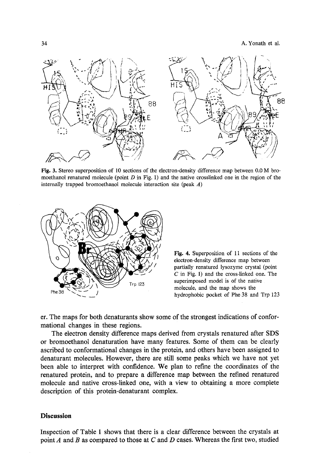

Fig. 3. Stereo superposition of 10 sections of the electron-density difference map between 0.0 M bromoethanol renatured molecule (point  $D$  in Fig. 1) and the native crosslinked one in the region of the internally trapped bromoethanol molecule interaction site (peak  $A$ )



Fig. 4. Superposition of 11 sections of the electron-density difference map between partially renatured lysozyme crystal (point C in Fig. 1) and the cross-linked one. The superimposed model is of the native molecule, and the map shows the hydrophobic pocket of Phe 38 and Trp 123

er. The maps for both denaturants show some of the strongest indications of conformational changes in these regions.

The electron density difference maps derived from crystals renatured after SDS or bromoethanol denaturation have many features. Some of them can be clearly ascribed to conformational changes in the protein, and others have been assigned to denaturant molecules. However, there are still some peaks which we have not yet been able to interpret with confidence. We plan to refine the coordinates of the renatured protein, and to prepare a difference map between the refined renatured molecule and native cross-linked one, with a view to obtaining a more complete description of this protein-denaturant complex.

# **Discussion**

Inspection of Table I shows that there is a clear difference between the crystals at point  $A$  and  $B$  as compared to those at  $C$  and  $D$  cases. Whereas the first two, studied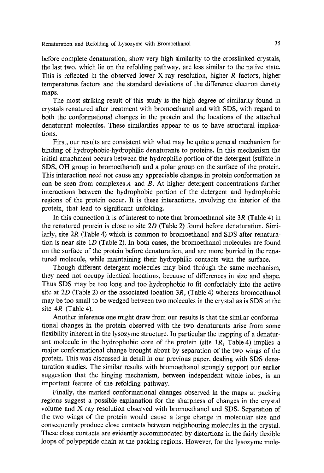Renaturation and Refolding of Lysozyme with Bromoethanol 35

before complete denaturation, show very high similarity to the crosslinked crystals, the last two, which lie on the refolding pathway, are less similar to the native state. This is reflected in the observed lower X-ray resolution, higher  $R$  factors, higher temperatures factors and the standard deviations of the difference electron density maps.

The most striking result of this study is the high degree of similarity found in crystals renatured after treatment with bromoethanol and with SDS, with regard to both the conformational changes in the protein and the locations of the attached denaturant molecules. These similarities appear to us to have structural implications.

First, our results are consistent with what may be quite a general mechanism for binding of hydrophobic-hydrophilic denaturants to proteins. In this mechanism the initial attachment occurs between the hydrophilic portion of the detergent (sulfate in SDS, OH group in bromoethanol) and a polar group on the surface of the protein. This interaction need not cause any appreciable changes in protein conformation as can be seen from complexes  $A$  and  $B$ . At higher detergent concentrations further interactions between the hydrophobic portion of the detergent and hydrophobic regions of the protein occur. It is these interactions, involving the interior of the protein, that lead to significant unfolding.

In this connection it is of interest to note that bromoethanol site  $3R$  (Table 4) in the renatured protein is close to site  $2D$  (Table 2) found before denaturation. Similarly, site  $2R$  (Table 4) which is common to bromoethanol and SDS after renaturation is near site  $1D$  (Table 2). In both cases, the bromoethanol molecules are found on the surface of the protein before denaturation, and are more burried in the renatured molecule, while maintaining their hydrophilic contacts with the surface.

Though different detergent molecules may bind through the same mechanism, they need not occupy identical locations, because of differences in size and shape. Thus SDS may be too long and too hydrophobic to fit confortably into the active site at  $2D$  (Table 2) or the associated location 3R, (Table 4) whereas bromoethanol may be too small to be wedged between two molecules in the crystal as is SDS at the site 4R (Table 4).

Another inference one might draw from our results is that the similar conformafional changes in the protein observed with the two denaturants arise from some flexibility inherent in the lysozyme structure. In particular the trapping of a denaturant molecule in the hydrophobic core of the protein (site  $1R$ , Table 4) implies a major conformational change brought about by separation of the two wings of the protein. This was discussed in detail in our previous paper, dealing with SDS denaturation studies. The similar results with bromoethanol strongly support our earlier suggestion that the hinging mechanism, between independent whole lobes, is an important feature of the refolding pathway.

Finally, the marked conformational changes observed in the maps at packing regions suggest a possible explanation for the sharpness of changes in the crystal volume and X-ray resolution observed with bromoethanol and SDS. Separation of the two wings of the protein would cause a large change in molecular size and consequently produce close contacts between neighbouring molecules in the crystal. These close contacts are evidently accommodated by distortions in the fairly flexible loops of polypepfide chain at the packing regions. However, for the lysozyme mole